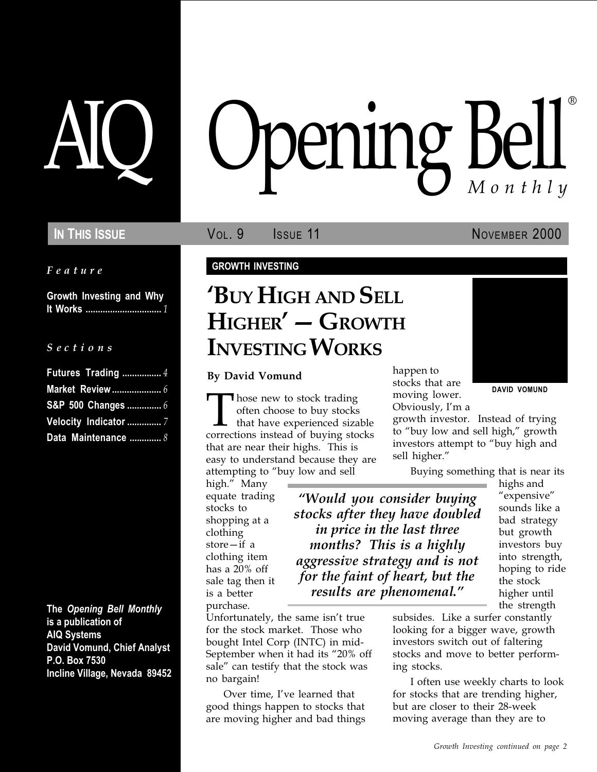Feature

Growth Investing and Why It Works ............................... 1

#### S e c t i o n s

| Futures Trading  4    |
|-----------------------|
|                       |
| S&P 500 Changes  6    |
| Velocity Indicator  7 |
| Data Maintenance  8   |

The Opening Bell Monthly is a publication of AIQ Systems David Vomund, Chief Analyst P.O. Box 7530 Incline Village, Nevada 89452

# pening Bell ®

In This Issue **Vol. 9 ISSUE** Vol. 9 **ISSUE 11** November 2000

DAVID VOMUND

#### GROWTH INVESTING

# BUY HIGH AND SELL HIGHER' - GROWTH INVESTING WORKS

By David Vomund

Those new to stock trading<br>
often choose to buy stocks<br>
that have experienced sizable<br>
corrections instead of buying stocks often choose to buy stocks that have experienced sizable that are near their highs. This is easy to understand because they are attempting to "buy low and sell

high." Many equate trading stocks to shopping at a clothing store $-$ if a clothing item has a 20% off sale tag then it is a better purchase.

Would you consider buying stocks after they have doubled in price in the last three months? This is a highly aggressive strategy and is not for the faint of heart, but the results are phenomenal.

Unfortunately, the same isn't true for the stock market. Those who bought Intel Corp (INTC) in mid-September when it had its "20% off sale" can testify that the stock was no bargain!

Over time, I've learned that good things happen to stocks that are moving higher and bad things happen to stocks that are moving lower. Obviously, I'm a

growth investor. Instead of trying to "buy low and sell high," growth investors attempt to "buy high and sell higher.

Buying something that is near its

highs and "expensive" sounds like a bad strategy but growth investors buy into strength, hoping to ride the stock higher until the strength

subsides. Like a surfer constantly looking for a bigger wave, growth investors switch out of faltering stocks and move to better performing stocks.

I often use weekly charts to look for stocks that are trending higher, but are closer to their 28-week moving average than they are to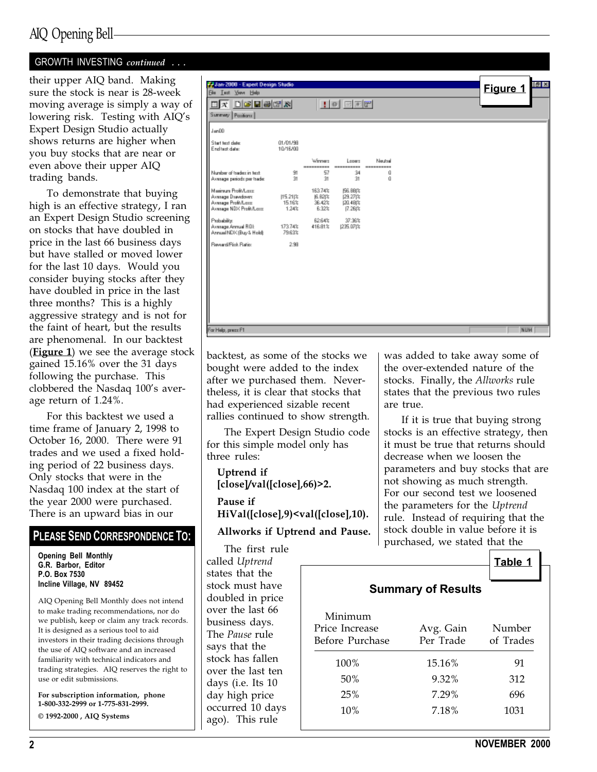# AIQ Opening Bell

## GROWTH INVESTING continued ...

their upper AIQ band. Making sure the stock is near is 28-week moving average is simply a way of lowering risk. Testing with AIQ's Expert Design Studio actually shows returns are higher when you buy stocks that are near or even above their upper AIQ trading bands.

To demonstrate that buying high is an effective strategy, I ran an Expert Design Studio screening on stocks that have doubled in price in the last 66 business days but have stalled or moved lower for the last 10 days. Would you consider buying stocks after they have doubled in price in the last three months? This is a highly aggressive strategy and is not for the faint of heart, but the results are phenomenal. In our backtest (**Figure 1**) we see the average stock gained 15.16% over the 31 days following the purchase. This clobbered the Nasdaq 100's average return of 1.24%.

For this backtest we used a time frame of January 2, 1998 to October 16, 2000. There were 91 trades and we used a fixed holding period of 22 business days. Only stocks that were in the Nasdaq 100 index at the start of the year 2000 were purchased. There is an upward bias in our

### PLEASE SEND CORRESPONDENCE TO:

Opening Bell Monthly G.R. Barbor, Editor P.O. Box 7530 Incline Village, NV 89452

AIQ Opening Bell Monthly does not intend to make trading recommendations, nor do we publish, keep or claim any track records. It is designed as a serious tool to aid investors in their trading decisions through the use of AIQ software and an increased familiarity with technical indicators and trading strategies. AIQ reserves the right to use or edit submissions.

For subscription information, phone 1-800-332-2999 or 1-775-831-2999. © 1992-2000 , AIQ Systems

| F. Jan-2000 - Expert Design Studio<br>Ele Lest Your Help<br>$\Box$ x $\Box$ g biski       |                             |                                       | $\Box$ $\Box$                                          |                                |  | $ g $ $\times$<br>Figure 1 |
|-------------------------------------------------------------------------------------------|-----------------------------|---------------------------------------|--------------------------------------------------------|--------------------------------|--|----------------------------|
| Summey Pacificns<br>Jan00                                                                 |                             |                                       |                                                        |                                |  |                            |
| Start text date:<br>End test date:                                                        | 01/01/98<br>10/16/00        |                                       |                                                        |                                |  |                            |
| Number of trades in test.<br>Average periods per trade:                                   | 91<br>31                    | Winners<br>----------<br>57<br>3t     | Losen<br>------<br>34<br>31                            | Newton<br>----------<br>ű<br>ű |  |                            |
| Mainun Profi/Loss<br>Avenage Drawdown:<br>Average Profit/Lass<br>Avenuge NDX Profit/Lass: | 115.21 %<br>15.16%<br>1.24% | 163.74%<br>16.82t%<br>36.42%<br>6:32% | <b>IS6, 88(%)</b><br>129.271%<br>120, 48(%)<br>17.26(% |                                |  |                            |
| Probability:<br>Average Annual ROL<br>Annual NDV (Buy & Hold):                            | 173.74%<br>79.63%           | 62.64%<br>416.81%                     | 37.36%<br>1235.07(%                                    |                                |  |                            |
| Reward/Pisk Ratio:                                                                        | 2.98                        |                                       |                                                        |                                |  |                            |
|                                                                                           |                             |                                       |                                                        |                                |  |                            |
|                                                                                           |                             |                                       |                                                        |                                |  |                            |
|                                                                                           |                             |                                       |                                                        |                                |  |                            |
| For Help, press F1                                                                        |                             |                                       |                                                        |                                |  | NUM                        |

backtest, as some of the stocks we bought were added to the index after we purchased them. Nevertheless, it is clear that stocks that had experienced sizable recent rallies continued to show strength.

The Expert Design Studio code for this simple model only has three rules:

Uptrend if [close]/val([close],66)>2.

Pause if HiVal([close],9)<val([close],10).

Allworks if Uptrend and Pause.

The first rule called Uptrend states that the stock must have doubled in price over the last 66 business days. The Pause rule says that the stock has fallen over the last ten days (i.e. Its 10 day high price occurred 10 days ago). This rule

was added to take away some of the over-extended nature of the stocks. Finally, the Allworks rule states that the previous two rules are true.

If it is true that buying strong stocks is an effective strategy, then it must be true that returns should decrease when we loosen the parameters and buy stocks that are not showing as much strength. For our second test we loosened the parameters for the Uptrend rule. Instead of requiring that the stock double in value before it is purchased, we stated that the

| <b>Summary of Results</b> |  |  |  |
|---------------------------|--|--|--|
|---------------------------|--|--|--|

| Minimum<br>Price Increase<br>Before Purchase | Avg. Gain<br>Per Trade | Number<br>of Trades |
|----------------------------------------------|------------------------|---------------------|
| 100%                                         | 15.16%                 | 91                  |
| 50%                                          | 9.32%                  | 312                 |
| 25%                                          | 7.29%                  | 696                 |
| 10%                                          | 7.18%                  | 1031                |
|                                              |                        |                     |

Table 1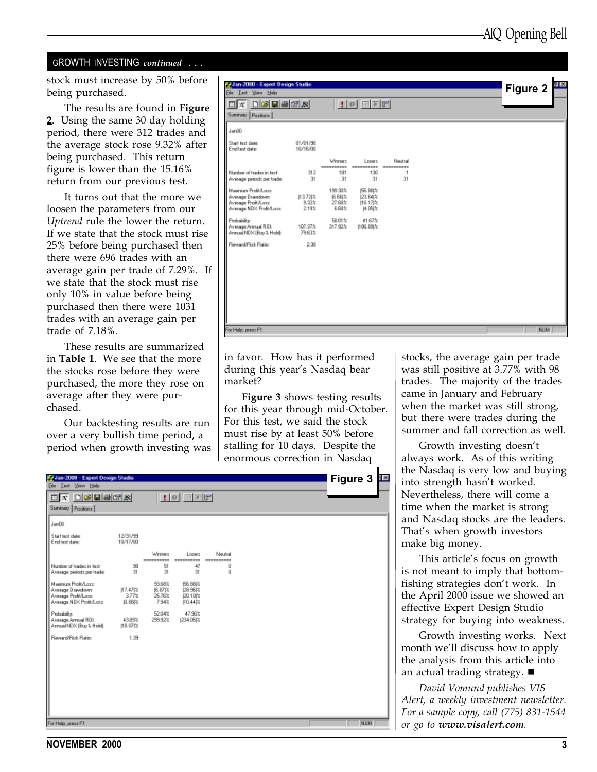#### GROWTH INVESTING continued ...

stock must increase by 50% before being purchased.

The results are found in Figure 2. Using the same 30 day holding period, there were 312 trades and the average stock rose 9.32% after being purchased. This return figure is lower than the 15.16% return from our previous test.

It turns out that the more we loosen the parameters from our Uptrend rule the lower the return. If we state that the stock must rise 25% before being purchased then there were 696 trades with an average gain per trade of 7.29%. If we state that the stock must rise only 10% in value before being purchased then there were 1031 trades with an average gain per trade of 7.18%.

These results are summarized in **Table 1**. We see that the more the stocks rose before they were purchased, the more they rose on average after they were purchased.

Our backtesting results are run over a very bullish time period, a period when growth investing was

| <b>P. Jan-2000 - Expert Design Studio</b><br>Ele Lest Your Help                            |                             |                                        |                                                    |                                  |  | Figure 2   |
|--------------------------------------------------------------------------------------------|-----------------------------|----------------------------------------|----------------------------------------------------|----------------------------------|--|------------|
| $\Box X$ $\Box G$ $\Box B$ $\Box R$ $\Box$<br>Summary Pasitions                            |                             |                                        | $100$ and $r$                                      |                                  |  |            |
| Jan00                                                                                      |                             |                                        |                                                    |                                  |  |            |
| Start text date:<br>End test date:                                                         | 01/01/98<br>10/16/00        |                                        |                                                    |                                  |  |            |
| Number of tradez in text<br>Average periods per trade:                                     | 312<br>31                   | Winner<br>----------<br>181<br>31      | Losers<br>----------<br>130<br>31                  | Neutral<br>----------<br>1<br>31 |  |            |
| Maginum Profit/Long<br>Average Drawdown<br>Average Profit/Lass<br>Average NDX Profit/Lass: | 113.72(%)<br>9.32%<br>2.19% | 199.90%<br>IG. BEIX<br>27.68%<br>6.68% | <b>156.88(%</b><br>[23.64]%<br>116.171%<br>[4.05]% |                                  |  |            |
| Probability:<br>Average Annual ROL<br>Annual NDK (Buy & Hold):                             | 107.37%<br>79.63%           | 58.01%<br>317.92%                      | 41.67%<br>1186.89(%                                |                                  |  |            |
| Reveald Fisk Ratio:                                                                        | 2.38                        |                                        |                                                    |                                  |  |            |
|                                                                                            |                             |                                        |                                                    |                                  |  |            |
|                                                                                            |                             |                                        |                                                    |                                  |  |            |
|                                                                                            |                             |                                        |                                                    |                                  |  |            |
| For Help, press F1                                                                         |                             |                                        |                                                    |                                  |  | <b>NUM</b> |

in favor. How has it performed during this year's Nasdaq bear market?

**Figure 3** shows testing results for this year through mid-October. For this test, we said the stock must rise by at least 50% before stalling for 10 days. Despite the enormous correction in Nasdaq

stocks, the average gain per trade was still positive at 3.77% with 98 trades. The majority of the trades came in January and February when the market was still strong, but there were trades during the summer and fall correction as well.

Growth investing doesn't always work. As of this writing the Nasdaq is very low and buying into strength hasn't worked. Nevertheless, there will come a time when the market is strong and Nasdaq stocks are the leaders. That's when growth investors make big money.

This article's focus on growth is not meant to imply that bottomfishing strategies don't work. In the April 2000 issue we showed an effective Expert Design Studio strategy for buying into weakness.

Growth investing works. Next month we'll discuss how to apply the analysis from this article into an actual trading strategy.  $\blacksquare$ 

David Vomund publishes VIS Alert, a weekly investment newsletter. For a sample copy, call (775) 831-1544 or go to www.visalert.com.

| <b>P. Jan-2000 - Expert Design Studio</b>                                                 |                             |                                       |                                                      |                       |  | Figure 3<br>Ä |
|-------------------------------------------------------------------------------------------|-----------------------------|---------------------------------------|------------------------------------------------------|-----------------------|--|---------------|
| Ele Lest Your Help                                                                        |                             |                                       |                                                      |                       |  |               |
| $\Box$ x $\Box$ g biski                                                                   |                             |                                       | $\blacksquare$                                       |                       |  |               |
| Summary Pazitions                                                                         |                             |                                       |                                                      |                       |  |               |
| Jan00                                                                                     |                             |                                       |                                                      |                       |  |               |
| Start text date:<br>End test date:                                                        | 12/31/99<br>10/17/00        |                                       |                                                      |                       |  |               |
|                                                                                           |                             | Weener<br>----------                  | Lower.<br>-----------                                | Neutral<br>---------- |  |               |
| Number of tradez in text.<br>Average periods per trade:                                   | 98<br>91                    | 51<br>31                              | 47<br>31                                             | ű<br>ű                |  |               |
| Mainun Profi/Loss<br>Average Drawdown:<br>Average Profit/Lass<br>Avenuge NDX Profit/Lass: | 117.47(%)<br>3.77%<br>0.88は | 53,68%<br>JEL B71%<br>25.76%<br>7.94% | <b>156.88(%)</b><br>128,961%<br>120.10(%<br>110.44 % |                       |  |               |
| Probability:<br>Avenuge Armuel ROL<br>Annual NDV (Buy & Hold):                            | 43.89%<br>$118.07$ $\%$     | 52.04%<br>299.92%                     | 47.98%<br>1234.05(%                                  |                       |  |               |
| Reveald Fisk Ratio:                                                                       | 1.99                        |                                       |                                                      |                       |  |               |
|                                                                                           |                             |                                       |                                                      |                       |  |               |
|                                                                                           |                             |                                       |                                                      |                       |  |               |
|                                                                                           |                             |                                       |                                                      |                       |  |               |
|                                                                                           |                             |                                       |                                                      |                       |  |               |
|                                                                                           |                             |                                       |                                                      |                       |  |               |
|                                                                                           |                             |                                       |                                                      |                       |  |               |
| For Help, press F1                                                                        |                             |                                       |                                                      |                       |  | NUM           |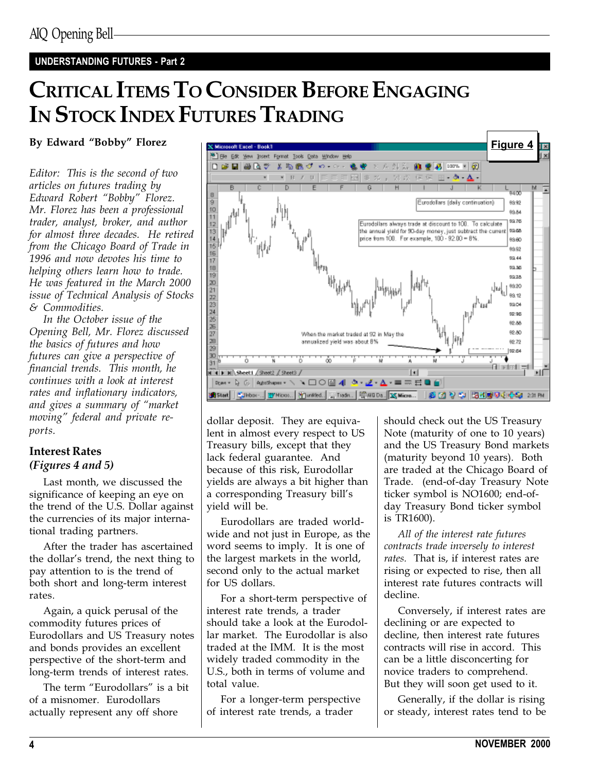## UNDERSTANDING FUTURES - Part 2

# CRITICAL ITEMS TO CONSIDER BEFORE ENGAGING IN STOCK INDEX FUTURES TRADING

#### By Edward "Bobby" Florez

Editor: This is the second of two articles on futures trading by Edward Robert "Bobby" Florez. Mr. Florez has been a professional trader, analyst, broker, and author for almost three decades. He retired from the Chicago Board of Trade in 1996 and now devotes his time to helping others learn how to trade. He was featured in the March 2000 issue of Technical Analysis of Stocks & Commodities.

In the October issue of the Opening Bell, Mr. Florez discussed the basics of futures and how futures can give a perspective of financial trends. This month, he continues with a look at interest rates and inflationary indicators, and gives a summary of "market" moving" federal and private reports.

### Interest Rates (Figures 4 and 5)

Last month, we discussed the significance of keeping an eye on the trend of the U.S. Dollar against the currencies of its major international trading partners.

After the trader has ascertained the dollar's trend, the next thing to pay attention to is the trend of both short and long-term interest rates.

Again, a quick perusal of the commodity futures prices of Eurodollars and US Treasury notes and bonds provides an excellent perspective of the short-term and long-term trends of interest rates.

The term "Eurodollars" is a bit of a misnomer. Eurodollars actually represent any off shore



dollar deposit. They are equivalent in almost every respect to US Treasury bills, except that they lack federal guarantee. And because of this risk, Eurodollar yields are always a bit higher than a corresponding Treasury bill's yield will be.

Eurodollars are traded worldwide and not just in Europe, as the word seems to imply. It is one of the largest markets in the world, second only to the actual market for US dollars.

For a short-term perspective of interest rate trends, a trader should take a look at the Eurodollar market. The Eurodollar is also traded at the IMM. It is the most widely traded commodity in the U.S., both in terms of volume and total value.

For a longer-term perspective of interest rate trends, a trader

should check out the US Treasury Note (maturity of one to 10 years) and the US Treasury Bond markets (maturity beyond 10 years). Both are traded at the Chicago Board of Trade. (end-of-day Treasury Note ticker symbol is NO1600; end-ofday Treasury Bond ticker symbol is TR1600).

All of the interest rate futures contracts trade inversely to interest rates. That is, if interest rates are rising or expected to rise, then all interest rate futures contracts will decline.

Conversely, if interest rates are declining or are expected to decline, then interest rate futures contracts will rise in accord. This can be a little disconcerting for novice traders to comprehend. But they will soon get used to it.

Generally, if the dollar is rising or steady, interest rates tend to be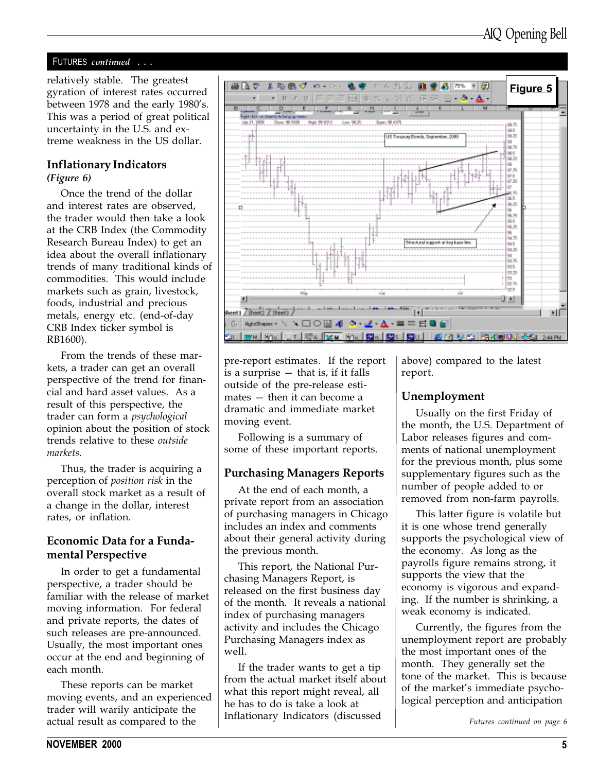#### FUTURES continued . . .

relatively stable. The greatest gyration of interest rates occurred between 1978 and the early 1980's. This was a period of great political uncertainty in the U.S. and extreme weakness in the US dollar.

#### Inflationary Indicators

(Figure 6)

Once the trend of the dollar and interest rates are observed, the trader would then take a look at the CRB Index (the Commodity Research Bureau Index) to get an idea about the overall inflationary trends of many traditional kinds of commodities. This would include markets such as grain, livestock, foods, industrial and precious metals, energy etc. (end-of-day CRB Index ticker symbol is RB1600).

From the trends of these markets, a trader can get an overall perspective of the trend for financial and hard asset values. As a result of this perspective, the trader can form a psychological opinion about the position of stock trends relative to these outside markets.

Thus, the trader is acquiring a perception of position risk in the overall stock market as a result of a change in the dollar, interest rates, or inflation.

#### Economic Data for a Fundamental Perspective

In order to get a fundamental perspective, a trader should be familiar with the release of market moving information. For federal and private reports, the dates of such releases are pre-announced. Usually, the most important ones occur at the end and beginning of each month.

These reports can be market moving events, and an experienced trader will warily anticipate the actual result as compared to the



pre-report estimates. If the report is a surprise  $-$  that is, if it falls outside of the pre-release esti $mates - then it can become a$ dramatic and immediate market moving event.

Following is a summary of some of these important reports.

#### Purchasing Managers Reports

At the end of each month, a private report from an association of purchasing managers in Chicago includes an index and comments about their general activity during the previous month.

This report, the National Purchasing Managers Report, is released on the first business day of the month. It reveals a national index of purchasing managers activity and includes the Chicago Purchasing Managers index as well.

If the trader wants to get a tip from the actual market itself about what this report might reveal, all he has to do is take a look at Inflationary Indicators (discussed

above) compared to the latest report.

#### Unemployment

Usually on the first Friday of the month, the U.S. Department of Labor releases figures and comments of national unemployment for the previous month, plus some supplementary figures such as the number of people added to or removed from non-farm payrolls.

This latter figure is volatile but it is one whose trend generally supports the psychological view of the economy. As long as the payrolls figure remains strong, it supports the view that the economy is vigorous and expanding. If the number is shrinking, a weak economy is indicated.

Currently, the figures from the unemployment report are probably the most important ones of the month. They generally set the tone of the market. This is because of the market's immediate psychological perception and anticipation

Futures continued on page 6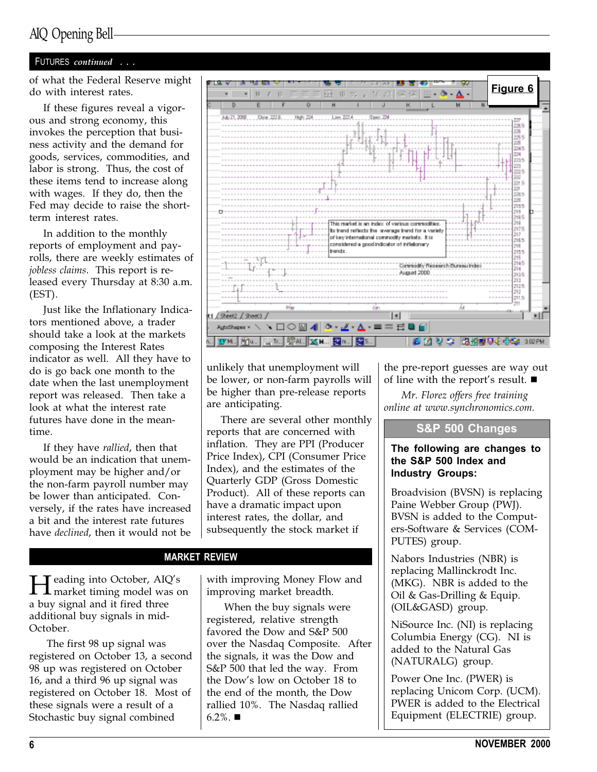## AIQ Opening Bell

#### FUTURES continued . . .

do with interest rates.

If these figures reveal a vigorous and strong economy, this invokes the perception that business activity and the demand for goods, services, commodities, and labor is strong. Thus, the cost of these items tend to increase along with wages. If they do, then the Fed may decide to raise the shortterm interest rates.

In addition to the monthly reports of employment and payrolls, there are weekly estimates of jobless claims. This report is released every Thursday at 8:30 a.m. (EST).

Just like the Inflationary Indicators mentioned above, a trader should take a look at the markets composing the Interest Rates indicator as well. All they have to do is go back one month to the date when the last unemployment report was released. Then take a look at what the interest rate futures have done in the meantime.

If they have rallied, then that would be an indication that unemployment may be higher and/or the non-farm payroll number may be lower than anticipated. Conversely, if the rates have increased a bit and the interest rate futures have declined, then it would not be



unlikely that unemployment will be lower, or non-farm payrolls will be higher than pre-release reports are anticipating.

There are several other monthly reports that are concerned with inflation. They are PPI (Producer Price Index), CPI (Consumer Price Index), and the estimates of the Quarterly GDP (Gross Domestic Product). All of these reports can have a dramatic impact upon interest rates, the dollar, and subsequently the stock market if

#### MARKET REVIEW

Heading into October, AIQs market timing model was on a buy signal and it fired three additional buy signals in mid-October.

The first 98 up signal was registered on October 13, a second 98 up was registered on October 16, and a third 96 up signal was registered on October 18. Most of these signals were a result of a Stochastic buy signal combined

with improving Money Flow and improving market breadth.

When the buy signals were registered, relative strength favored the Dow and S&P 500 over the Nasdaq Composite. After the signals, it was the Dow and S&P 500 that led the way. From the Dow's low on October 18 to the end of the month, the Dow rallied 10%. The Nasdaq rallied  $6.2\%$ .

the pre-report guesses are way out of line with the report's result.  $\blacksquare$ 

Mr. Florez offers free training online at www.synchronomics.com.

### S&P 500 Changes

#### The following are changes to the S&P 500 Index and Industry Groups:

Broadvision (BVSN) is replacing Paine Webber Group (PWJ). BVSN is added to the Computers-Software & Services (COM-PUTES) group.

Nabors Industries (NBR) is replacing Mallinckrodt Inc. (MKG). NBR is added to the Oil & Gas-Drilling & Equip. (OIL&GASD) group.

NiSource Inc. (NI) is replacing Columbia Energy (CG). NI is added to the Natural Gas (NATURALG) group.

Power One Inc. (PWER) is replacing Unicom Corp. (UCM). PWER is added to the Electrical Equipment (ELECTRIE) group.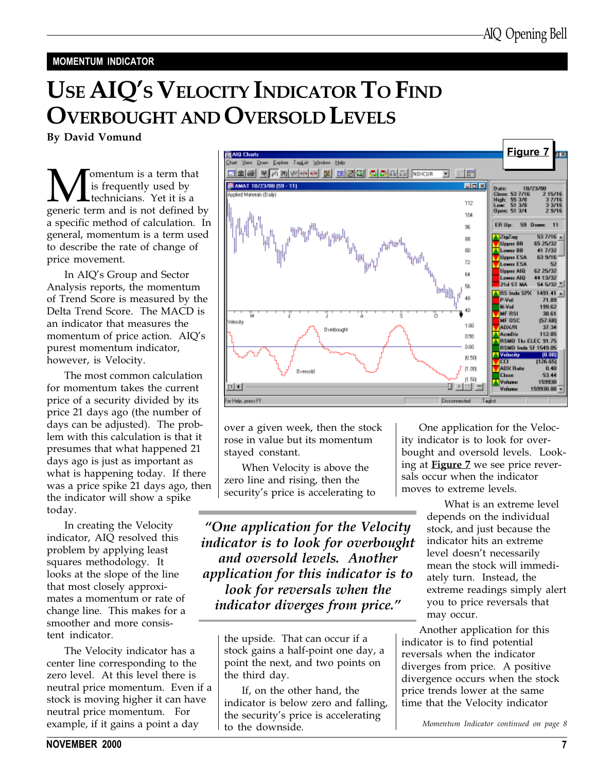#### MOMENTUM INDICATOR

# USE AIQ'S VELOCITY INDICATOR TO FIND OVERBOUGHT AND OVERSOLD LEVELS

By David Vomund

**M** is frequently used by<br>generic term and is not defined by is frequently used by technicians. Yet it is a a specific method of calculation. In general, momentum is a term used to describe the rate of change of price movement.

In AIQ's Group and Sector Analysis reports, the momentum of Trend Score is measured by the Delta Trend Score. The MACD is an indicator that measures the momentum of price action. AIQ's purest momentum indicator, however, is Velocity.

The most common calculation for momentum takes the current price of a security divided by its price 21 days ago (the number of days can be adjusted). The problem with this calculation is that it presumes that what happened 21 days ago is just as important as what is happening today. If there was a price spike 21 days ago, then the indicator will show a spike today.

In creating the Velocity indicator, AIQ resolved this problem by applying least squares methodology. It looks at the slope of the line that most closely approximates a momentum or rate of change line. This makes for a smoother and more consistent indicator.

The Velocity indicator has a center line corresponding to the zero level. At this level there is neutral price momentum. Even if a stock is moving higher it can have neutral price momentum. For example, if it gains a point a day



over a given week, then the stock rose in value but its momentum stayed constant.

When Velocity is above the zero line and rising, then the security's price is accelerating to

One application for the Velocity indicator is to look for overbought and oversold levels. Another application for this indicator is to look for reversals when the indicator diverges from price."

> the upside. That can occur if a stock gains a half-point one day, a point the next, and two points on the third day.

> If, on the other hand, the indicator is below zero and falling, the security's price is accelerating to the downside.

One application for the Velocity indicator is to look for overbought and oversold levels. Looking at Figure 7 we see price reversals occur when the indicator moves to extreme levels.

> What is an extreme level depends on the individual stock, and just because the indicator hits an extreme level doesn't necessarily mean the stock will immediately turn. Instead, the extreme readings simply alert you to price reversals that may occur.

Another application for this indicator is to find potential reversals when the indicator diverges from price. A positive divergence occurs when the stock price trends lower at the same time that the Velocity indicator

Momentum Indicator continued on page 8